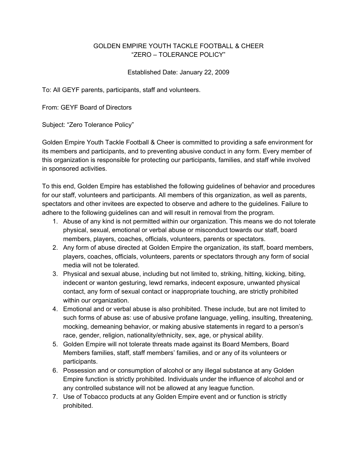## GOLDEN EMPIRE YOUTH TACKLE FOOTBALL & CHEER "ZERO – TOLERANCE POLICY"

## Established Date: January 22, 2009

To: All GEYF parents, participants, staff and volunteers.

From: GEYF Board of Directors

Subject: "Zero Tolerance Policy"

Golden Empire Youth Tackle Football & Cheer is committed to providing a safe environment for its members and participants, and to preventing abusive conduct in any form. Every member of this organization is responsible for protecting our participants, families, and staff while involved in sponsored activities.

To this end, Golden Empire has established the following guidelines of behavior and procedures for our staff, volunteers and participants. All members of this organization, as well as parents, spectators and other invitees are expected to observe and adhere to the guidelines. Failure to adhere to the following guidelines can and will result in removal from the program.

- 1. Abuse of any kind is not permitted within our organization. This means we do not tolerate physical, sexual, emotional or verbal abuse or misconduct towards our staff, board members, players, coaches, officials, volunteers, parents or spectators.
- 2. Any form of abuse directed at Golden Empire the organization, its staff, board members, players, coaches, officials, volunteers, parents or spectators through any form of social media will not be tolerated.
- 3. Physical and sexual abuse, including but not limited to, striking, hitting, kicking, biting, indecent or wanton gesturing, lewd remarks, indecent exposure, unwanted physical contact, any form of sexual contact or inappropriate touching, are strictly prohibited within our organization.
- 4. Emotional and or verbal abuse is also prohibited. These include, but are not limited to such forms of abuse as: use of abusive profane language, yelling, insulting, threatening, mocking, demeaning behavior, or making abusive statements in regard to a person's race, gender, religion, nationality/ethnicity, sex, age, or physical ability.
- 5. Golden Empire will not tolerate threats made against its Board Members, Board Members families, staff, staff members' families, and or any of its volunteers or participants.
- 6. Possession and or consumption of alcohol or any illegal substance at any Golden Empire function is strictly prohibited. Individuals under the influence of alcohol and or any controlled substance will not be allowed at any league function.
- 7. Use of Tobacco products at any Golden Empire event and or function is strictly prohibited.